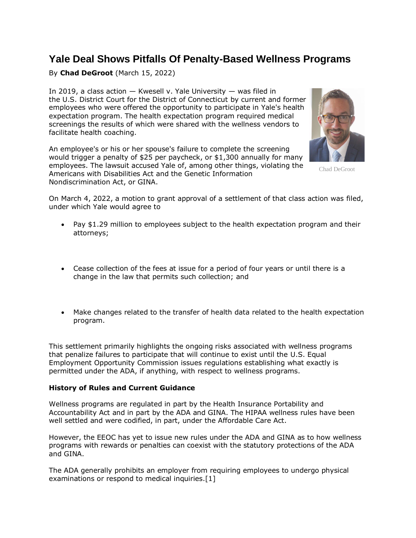## **Yale Deal Shows Pitfalls Of Penalty-Based Wellness Programs**

By **Chad DeGroot** (March 15, 2022)

In 2019, a class action — Kwesell v. [Yale University](https://www.law360.com/companies/yale-university) — was filed in the [U.S. District Court for the District of Connecticut](https://www.law360.com/agencies/u-s-district-court-for-the-district-of-connecticut) by current and former employees who were offered the opportunity to participate in Yale's health expectation program. The health expectation program required medical screenings the results of which were shared with the wellness vendors to facilitate health coaching.

An employee's or his or her spouse's failure to complete the screening would trigger a penalty of \$25 per paycheck, or \$1,300 annually for many employees. The lawsuit accused Yale of, among other things, violating the Americans with Disabilities Act and the Genetic Information Nondiscrimination Act, or GINA.



Chad DeGroot

On March 4, 2022, a motion to grant approval of a settlement of that class action was [filed,](https://www.law360.com/benefits/articles/1471012/yale-inks-1-29m-deal-to-end-wellness-policy-suit) under which Yale would agree to

- Pay \$1.29 million to employees subject to the health expectation program and their attorneys;
- Cease collection of the fees at issue for a period of four years or until there is a change in the law that permits such collection; and
- Make changes related to the transfer of health data related to the health expectation program.

This settlement primarily highlights the ongoing risks associated with wellness programs that penalize failures to participate that will continue to exist until the [U.S. Equal](https://www.law360.com/agencies/equal-employment-opportunity-commission)  [Employment Opportunity Commission](https://www.law360.com/agencies/equal-employment-opportunity-commission) issues regulations establishing what exactly is permitted under the ADA, if anything, with respect to wellness programs.

## **History of Rules and Current Guidance**

Wellness programs are regulated in part by the Health Insurance Portability and Accountability Act and in part by the ADA and GINA. The HIPAA wellness rules have been well settled and were codified, in part, under the Affordable Care Act.

However, the EEOC has yet to issue new rules under the ADA and GINA as to how wellness programs with rewards or penalties can coexist with the statutory protections of the ADA and GINA.

The ADA generally prohibits an employer from requiring employees to undergo physical examinations or respond to medical inquiries.[1]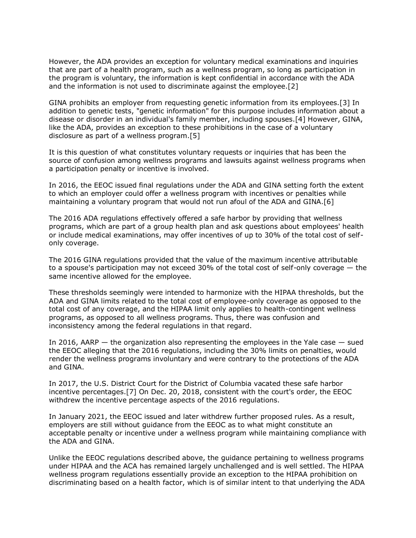However, the ADA provides an exception for voluntary medical examinations and inquiries that are part of a health program, such as a wellness program, so long as participation in the program is voluntary, the information is kept confidential in accordance with the ADA and the information is not used to discriminate against the employee.[2]

GINA prohibits an employer from requesting genetic information from its employees.[3] In addition to genetic tests, "genetic information" for this purpose includes information about a disease or disorder in an individual's family member, including spouses.[4] However, GINA, like the ADA, provides an exception to these prohibitions in the case of a voluntary disclosure as part of a wellness program.[5]

It is this question of what constitutes voluntary requests or inquiries that has been the source of confusion among wellness programs and lawsuits against wellness programs when a participation penalty or incentive is involved.

In 2016, the EEOC issued final regulations under the ADA and GINA setting forth the extent to which an employer could offer a wellness program with incentives or penalties while maintaining a voluntary program that would not run afoul of the ADA and GINA.[6]

The 2016 ADA regulations effectively offered a safe harbor by providing that wellness programs, which are part of a group health plan and ask questions about employees' health or include medical examinations, may offer incentives of up to 30% of the total cost of selfonly coverage.

The 2016 GINA regulations provided that the value of the maximum incentive attributable to a spouse's participation may not exceed 30% of the total cost of self-only coverage — the same incentive allowed for the employee.

These thresholds seemingly were intended to harmonize with the HIPAA thresholds, but the ADA and GINA limits related to the total cost of employee-only coverage as opposed to the total cost of any coverage, and the HIPAA limit only applies to health-contingent wellness programs, as opposed to all wellness programs. Thus, there was confusion and inconsistency among the federal regulations in that regard.

In 2016, AARP — the organization also representing the employees in the Yale case — sued the EEOC alleging that the 2016 regulations, including the 30% limits on penalties, would render the wellness programs involuntary and were contrary to the protections of the ADA and GINA.

In 2017, the [U.S. District Court for the District of Columbia](https://www.law360.com/agencies/u-s-district-court-for-the-district-of-columbia) vacated these safe harbor incentive percentages.[7] On Dec. 20, 2018, consistent with the court's order, the EEOC withdrew the incentive percentage aspects of the 2016 regulations.

In January 2021, the EEOC issued and later withdrew further proposed rules. As a result, employers are still without guidance from the EEOC as to what might constitute an acceptable penalty or incentive under a wellness program while maintaining compliance with the ADA and GINA.

Unlike the EEOC regulations described above, the guidance pertaining to wellness programs under HIPAA and the ACA has remained largely unchallenged and is well settled. The HIPAA wellness program regulations essentially provide an exception to the HIPAA prohibition on discriminating based on a health factor, which is of similar intent to that underlying the ADA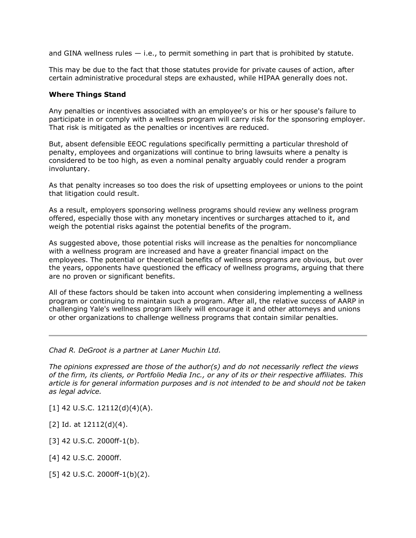and GINA wellness rules  $-$  i.e., to permit something in part that is prohibited by statute.

This may be due to the fact that those statutes provide for private causes of action, after certain administrative procedural steps are exhausted, while HIPAA generally does not.

## **Where Things Stand**

Any penalties or incentives associated with an employee's or his or her spouse's failure to participate in or comply with a wellness program will carry risk for the sponsoring employer. That risk is mitigated as the penalties or incentives are reduced.

But, absent defensible EEOC regulations specifically permitting a particular threshold of penalty, employees and organizations will continue to bring lawsuits where a penalty is considered to be too high, as even a nominal penalty arguably could render a program involuntary.

As that penalty increases so too does the risk of upsetting employees or unions to the point that litigation could result.

As a result, employers sponsoring wellness programs should review any wellness program offered, especially those with any monetary incentives or surcharges attached to it, and weigh the potential risks against the potential benefits of the program.

As suggested above, those potential risks will increase as the penalties for noncompliance with a wellness program are increased and have a greater financial impact on the employees. The potential or theoretical benefits of wellness programs are obvious, but over the years, opponents have questioned the efficacy of wellness programs, arguing that there are no proven or significant benefits.

All of these factors should be taken into account when considering implementing a wellness program or continuing to maintain such a program. After all, the relative success of AARP in challenging Yale's wellness program likely will encourage it and other attorneys and unions or other organizations to challenge wellness programs that contain similar penalties.

*[Chad R. DeGroot](http://www.lanermuchin.com/attorneys-chad-degroot) is a partner at [Laner Muchin Ltd.](https://www.law360.com/firms/laner-muchin)*

*The opinions expressed are those of the author(s) and do not necessarily reflect the views of the firm, its clients, or Portfolio Media Inc., or any of its or their respective affiliates. This article is for general information purposes and is not intended to be and should not be taken as legal advice.*

- [1] 42 U.S.C. 12112(d)(4)(A).
- [2] Id. at 12112(d)(4).
- [3] 42 U.S.C. 2000ff-1(b).
- [4] 42 U.S.C. 2000ff.
- [5] 42 U.S.C. 2000ff-1(b)(2).